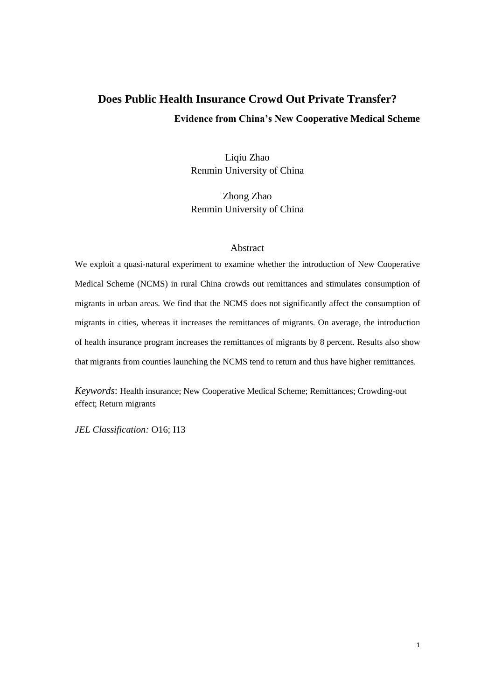# **Does Public Health Insurance Crowd Out Private Transfer? Evidence from China's New Cooperative Medical Scheme**

Liqiu Zhao Renmin University of China

Zhong Zhao Renmin University of China

# Abstract

We exploit a quasi-natural experiment to examine whether the introduction of New Cooperative Medical Scheme (NCMS) in rural China crowds out remittances and stimulates consumption of migrants in urban areas. We find that the NCMS does not significantly affect the consumption of migrants in cities, whereas it increases the remittances of migrants. On average, the introduction of health insurance program increases the remittances of migrants by 8 percent. Results also show that migrants from counties launching the NCMS tend to return and thus have higher remittances.

*Keywords*: Health insurance; New Cooperative Medical Scheme; Remittances; Crowding-out effect; Return migrants

*JEL Classification:* O16; I13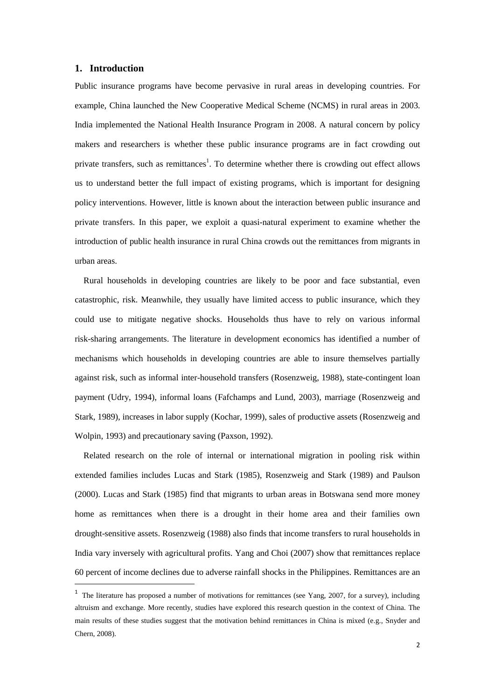## **1. Introduction**

-

Public insurance programs have become pervasive in rural areas in developing countries. For example, China launched the New Cooperative Medical Scheme (NCMS) in rural areas in 2003. India implemented the National Health Insurance Program in 2008. A natural concern by policy makers and researchers is whether these public insurance programs are in fact crowding out private transfers, such as remittances<sup>1</sup>. To determine whether there is crowding out effect allows us to understand better the full impact of existing programs, which is important for designing policy interventions. However, little is known about the interaction between public insurance and private transfers. In this paper, we exploit a quasi-natural experiment to examine whether the introduction of public health insurance in rural China crowds out the remittances from migrants in urban areas.

Rural households in developing countries are likely to be poor and face substantial, even catastrophic, risk. Meanwhile, they usually have limited access to public insurance, which they could use to mitigate negative shocks. Households thus have to rely on various informal risk-sharing arrangements. The literature in development economics has identified a number of mechanisms which households in developing countries are able to insure themselves partially against risk, such as informal inter-household transfers (Rosenzweig, 1988), state-contingent loan payment (Udry, 1994), informal loans (Fafchamps and Lund, 2003), marriage (Rosenzweig and Stark, 1989), increases in labor supply (Kochar, 1999), sales of productive assets (Rosenzweig and Wolpin, 1993) and precautionary saving (Paxson, 1992).

Related research on the role of internal or international migration in pooling risk within extended families includes Lucas and Stark (1985), Rosenzweig and Stark (1989) and Paulson (2000). Lucas and Stark (1985) find that migrants to urban areas in Botswana send more money home as remittances when there is a drought in their home area and their families own drought-sensitive assets. Rosenzweig (1988) also finds that income transfers to rural households in India vary inversely with agricultural profits. Yang and Choi (2007) show that remittances replace 60 percent of income declines due to adverse rainfall shocks in the Philippines. Remittances are an

<sup>&</sup>lt;sup>1</sup> The literature has proposed a number of motivations for remittances (see Yang, 2007, for a survey), including altruism and exchange. More recently, studies have explored this research question in the context of China. The main results of these studies suggest that the motivation behind remittances in China is mixed (e.g., Snyder and Chern, 2008).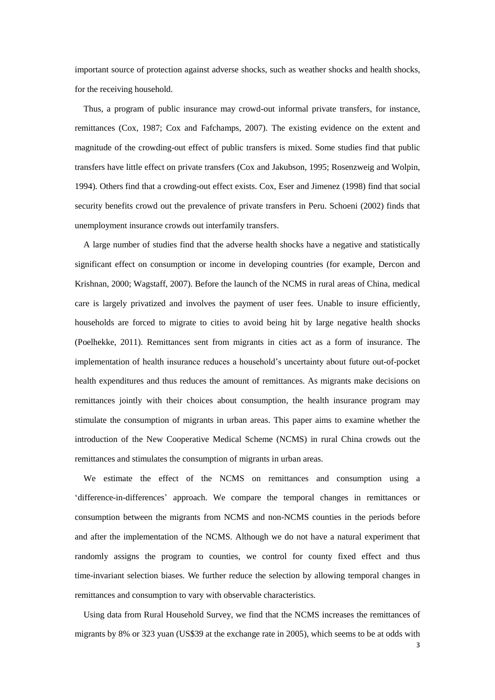important source of protection against adverse shocks, such as weather shocks and health shocks, for the receiving household.

Thus, a program of public insurance may crowd-out informal private transfers, for instance, remittances (Cox, 1987; Cox and Fafchamps, 2007). The existing evidence on the extent and magnitude of the crowding-out effect of public transfers is mixed. Some studies find that public transfers have little effect on private transfers (Cox and Jakubson, 1995; Rosenzweig and Wolpin, 1994). Others find that a crowding-out effect exists. Cox, Eser and Jimenez (1998) find that social security benefits crowd out the prevalence of private transfers in Peru. Schoeni (2002) finds that unemployment insurance crowds out interfamily transfers.

A large number of studies find that the adverse health shocks have a negative and statistically significant effect on consumption or income in developing countries (for example, Dercon and Krishnan, 2000; Wagstaff, 2007). Before the launch of the NCMS in rural areas of China, medical care is largely privatized and involves the payment of user fees. Unable to insure efficiently, households are forced to migrate to cities to avoid being hit by large negative health shocks (Poelhekke, 2011). Remittances sent from migrants in cities act as a form of insurance. The implementation of health insurance reduces a household's uncertainty about future out-of-pocket health expenditures and thus reduces the amount of remittances. As migrants make decisions on remittances jointly with their choices about consumption, the health insurance program may stimulate the consumption of migrants in urban areas. This paper aims to examine whether the introduction of the New Cooperative Medical Scheme (NCMS) in rural China crowds out the remittances and stimulates the consumption of migrants in urban areas.

We estimate the effect of the NCMS on remittances and consumption using a 'difference-in-differences' approach. We compare the temporal changes in remittances or consumption between the migrants from NCMS and non-NCMS counties in the periods before and after the implementation of the NCMS. Although we do not have a natural experiment that randomly assigns the program to counties, we control for county fixed effect and thus time-invariant selection biases. We further reduce the selection by allowing temporal changes in remittances and consumption to vary with observable characteristics.

Using data from Rural Household Survey, we find that the NCMS increases the remittances of migrants by 8% or 323 yuan (US\$39 at the exchange rate in 2005), which seems to be at odds with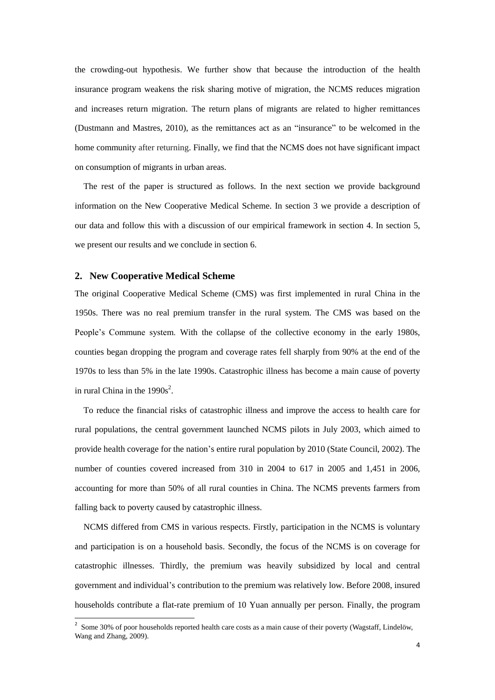the crowding-out hypothesis. We further show that because the introduction of the health insurance program weakens the risk sharing motive of migration, the NCMS reduces migration and increases return migration. The return plans of migrants are related to higher remittances (Dustmann and Mastres, 2010), as the remittances act as an "insurance" to be welcomed in the home community after returning. Finally, we find that the NCMS does not have significant impact on consumption of migrants in urban areas.

The rest of the paper is structured as follows. In the next section we provide background information on the New Cooperative Medical Scheme. In section 3 we provide a description of our data and follow this with a discussion of our empirical framework in section 4. In section 5, we present our results and we conclude in section 6.

## **2. New Cooperative Medical Scheme**

The original Cooperative Medical Scheme (CMS) was first implemented in rural China in the 1950s. There was no real premium transfer in the rural system. The CMS was based on the People's Commune system. With the collapse of the collective economy in the early 1980s, counties began dropping the program and coverage rates fell sharply from 90% at the end of the 1970s to less than 5% in the late 1990s. Catastrophic illness has become a main cause of poverty in rural China in the  $1990s^2$ .

To reduce the financial risks of catastrophic illness and improve the access to health care for rural populations, the central government launched NCMS pilots in July 2003, which aimed to provide health coverage for the nation's entire rural population by 2010 (State Council, 2002). The number of counties covered increased from 310 in 2004 to 617 in 2005 and 1,451 in 2006, accounting for more than 50% of all rural counties in China. The NCMS prevents farmers from falling back to poverty caused by catastrophic illness.

NCMS differed from CMS in various respects. Firstly, participation in the NCMS is voluntary and participation is on a household basis. Secondly, the focus of the NCMS is on coverage for catastrophic illnesses. Thirdly, the premium was heavily subsidized by local and central government and individual's contribution to the premium was relatively low. Before 2008, insured households contribute a flat-rate premium of 10 Yuan annually per person. Finally, the program

<sup>&</sup>lt;sup>2</sup> Some 30% of poor households reported health care costs as a main cause of their poverty (Wagstaff, Lindelöw, Wang and Zhang, 2009).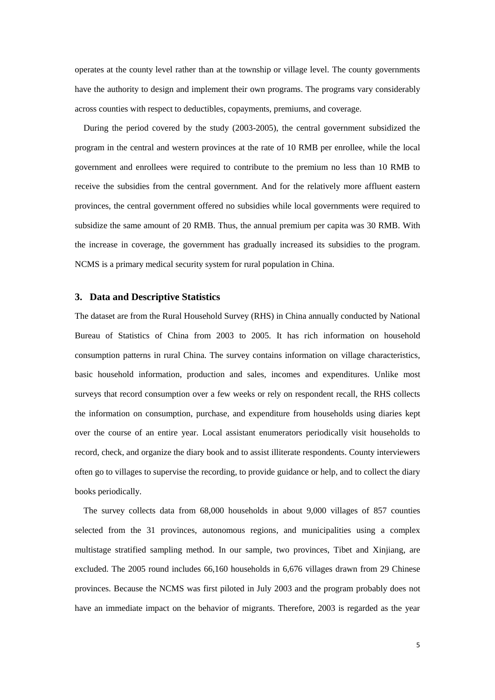operates at the county level rather than at the township or village level. The county governments have the authority to design and implement their own programs. The programs vary considerably across counties with respect to deductibles, copayments, premiums, and coverage.

During the period covered by the study (2003-2005), the central government subsidized the program in the central and western provinces at the rate of 10 RMB per enrollee, while the local government and enrollees were required to contribute to the premium no less than 10 RMB to receive the subsidies from the central government. And for the relatively more affluent eastern provinces, the central government offered no subsidies while local governments were required to subsidize the same amount of 20 RMB. Thus, the annual premium per capita was 30 RMB. With the increase in coverage, the government has gradually increased its subsidies to the program. NCMS is a primary medical security system for rural population in China.

## **3. Data and Descriptive Statistics**

The dataset are from the Rural Household Survey (RHS) in China annually conducted by National Bureau of Statistics of China from 2003 to 2005. It has rich information on household consumption patterns in rural China. The survey contains information on village characteristics, basic household information, production and sales, incomes and expenditures. Unlike most surveys that record consumption over a few weeks or rely on respondent recall, the RHS collects the information on consumption, purchase, and expenditure from households using diaries kept over the course of an entire year. Local assistant enumerators periodically visit households to record, check, and organize the diary book and to assist illiterate respondents. County interviewers often go to villages to supervise the recording, to provide guidance or help, and to collect the diary books periodically.

The survey collects data from 68,000 households in about 9,000 villages of 857 counties selected from the 31 provinces, autonomous regions, and municipalities using a complex multistage stratified sampling method. In our sample, two provinces, Tibet and Xinjiang, are excluded. The 2005 round includes 66,160 households in 6,676 villages drawn from 29 Chinese provinces. Because the NCMS was first piloted in July 2003 and the program probably does not have an immediate impact on the behavior of migrants. Therefore, 2003 is regarded as the year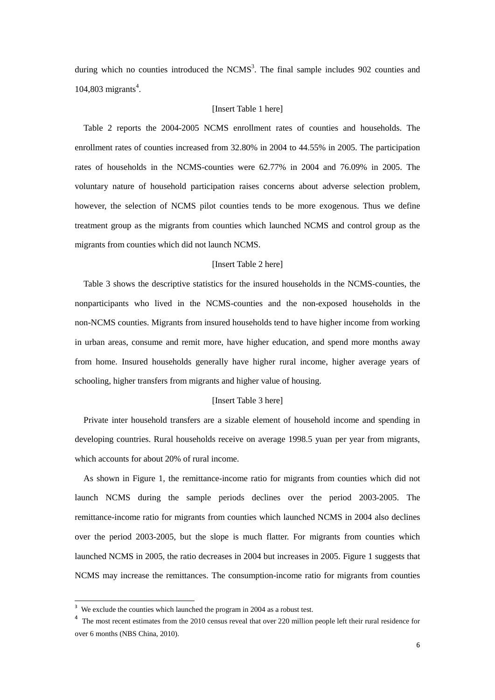during which no counties introduced the  $NCMS<sup>3</sup>$ . The final sample includes 902 counties and 104,803 migrants 4 .

#### [Insert Table 1 here]

Table 2 reports the 2004-2005 NCMS enrollment rates of counties and households. The enrollment rates of counties increased from 32.80% in 2004 to 44.55% in 2005. The participation rates of households in the NCMS-counties were 62.77% in 2004 and 76.09% in 2005. The voluntary nature of household participation raises concerns about adverse selection problem, however, the selection of NCMS pilot counties tends to be more exogenous. Thus we define treatment group as the migrants from counties which launched NCMS and control group as the migrants from counties which did not launch NCMS.

## [Insert Table 2 here]

Table 3 shows the descriptive statistics for the insured households in the NCMS-counties, the nonparticipants who lived in the NCMS-counties and the non-exposed households in the non-NCMS counties. Migrants from insured households tend to have higher income from working in urban areas, consume and remit more, have higher education, and spend more months away from home. Insured households generally have higher rural income, higher average years of schooling, higher transfers from migrants and higher value of housing.

#### [Insert Table 3 here]

Private inter household transfers are a sizable element of household income and spending in developing countries. Rural households receive on average 1998.5 yuan per year from migrants, which accounts for about 20% of rural income.

As shown in Figure 1, the remittance-income ratio for migrants from counties which did not launch NCMS during the sample periods declines over the period 2003-2005. The remittance-income ratio for migrants from counties which launched NCMS in 2004 also declines over the period 2003-2005, but the slope is much flatter. For migrants from counties which launched NCMS in 2005, the ratio decreases in 2004 but increases in 2005. Figure 1 suggests that NCMS may increase the remittances. The consumption-income ratio for migrants from counties

-

<sup>&</sup>lt;sup>3</sup> We exclude the counties which launched the program in 2004 as a robust test.

<sup>&</sup>lt;sup>4</sup> The most recent estimates from the 2010 census reveal that over 220 million people left their rural residence for over 6 months (NBS China, 2010).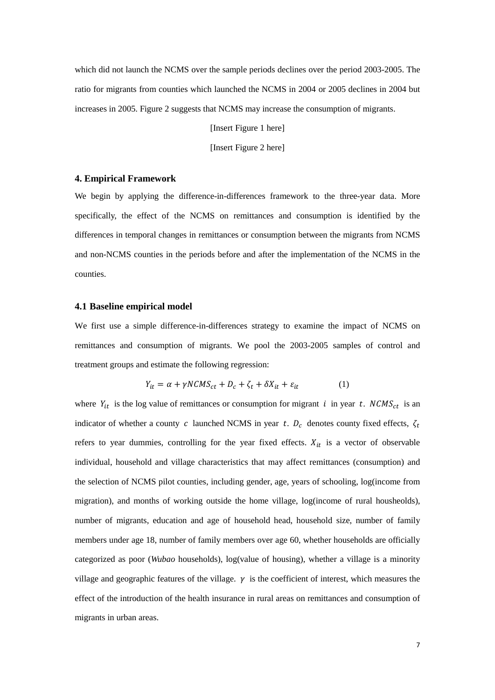which did not launch the NCMS over the sample periods declines over the period 2003-2005. The ratio for migrants from counties which launched the NCMS in 2004 or 2005 declines in 2004 but increases in 2005. Figure 2 suggests that NCMS may increase the consumption of migrants.

[Insert Figure 1 here]

[Insert Figure 2 here]

## **4. Empirical Framework**

We begin by applying the difference-in-differences framework to the three-year data. More specifically, the effect of the NCMS on remittances and consumption is identified by the differences in temporal changes in remittances or consumption between the migrants from NCMS and non-NCMS counties in the periods before and after the implementation of the NCMS in the counties.

## **4.1 Baseline empirical model**

We first use a simple difference-in-differences strategy to examine the impact of NCMS on remittances and consumption of migrants. We pool the 2003-2005 samples of control and treatment groups and estimate the following regression:

$$
Y_{it} = \alpha + \gamma NCMS_{ct} + D_c + \zeta_t + \delta X_{it} + \varepsilon_{it}
$$
 (1)

where  $Y_{it}$  is the log value of remittances or consumption for migrant i in year t. NCMS<sub>ct</sub> is an indicator of whether a county c launched NCMS in year t.  $D_c$  denotes county fixed effects,  $\zeta_t$ refers to year dummies, controlling for the year fixed effects.  $X_{it}$  is a vector of observable individual, household and village characteristics that may affect remittances (consumption) and the selection of NCMS pilot counties, including gender, age, years of schooling, log(income from migration), and months of working outside the home village, log(income of rural housheolds), number of migrants, education and age of household head, household size, number of family members under age 18, number of family members over age 60, whether households are officially categorized as poor (*Wubao* households), log(value of housing), whether a village is a minority village and geographic features of the village.  $\gamma$  is the coefficient of interest, which measures the effect of the introduction of the health insurance in rural areas on remittances and consumption of migrants in urban areas.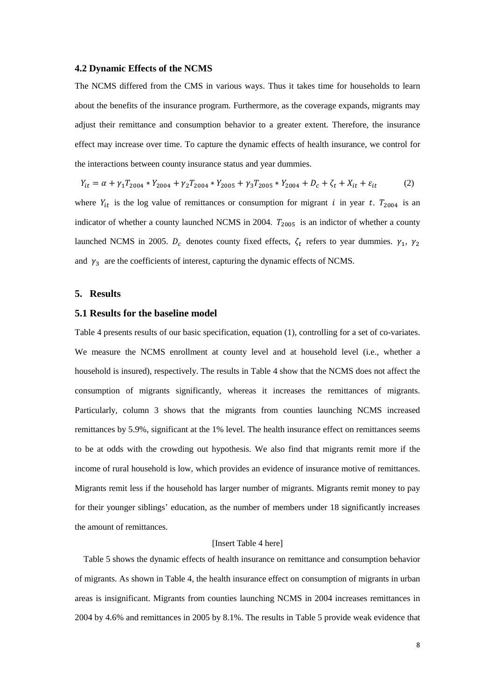## **4.2 Dynamic Effects of the NCMS**

The NCMS differed from the CMS in various ways. Thus it takes time for households to learn about the benefits of the insurance program. Furthermore, as the coverage expands, migrants may adjust their remittance and consumption behavior to a greater extent. Therefore, the insurance effect may increase over time. To capture the dynamic effects of health insurance, we control for the interactions between county insurance status and year dummies.

$$
Y_{it} = \alpha + \gamma_1 T_{2004} * Y_{2004} + \gamma_2 T_{2004} * Y_{2005} + \gamma_3 T_{2005} * Y_{2004} + D_c + \zeta_t + X_{it} + \varepsilon_{it}
$$
 (2)

where  $Y_{it}$  is the log value of remittances or consumption for migrant i in year t.  $T_{2004}$  is an indicator of whether a county launched NCMS in 2004.  $T_{2005}$  is an indictor of whether a county launched NCMS in 2005.  $D_c$  denotes county fixed effects,  $\zeta_t$  refers to year dummies.  $\gamma_1$ , and  $\gamma_3$  are the coefficients of interest, capturing the dynamic effects of NCMS.

#### **5. Results**

## **5.1 Results for the baseline model**

Table 4 presents results of our basic specification, equation (1), controlling for a set of co-variates. We measure the NCMS enrollment at county level and at household level (i.e., whether a household is insured), respectively. The results in Table 4 show that the NCMS does not affect the consumption of migrants significantly, whereas it increases the remittances of migrants. Particularly, column 3 shows that the migrants from counties launching NCMS increased remittances by 5.9%, significant at the 1% level. The health insurance effect on remittances seems to be at odds with the crowding out hypothesis. We also find that migrants remit more if the income of rural household is low, which provides an evidence of insurance motive of remittances. Migrants remit less if the household has larger number of migrants. Migrants remit money to pay for their younger siblings' education, as the number of members under 18 significantly increases the amount of remittances.

#### [Insert Table 4 here]

Table 5 shows the dynamic effects of health insurance on remittance and consumption behavior of migrants. As shown in Table 4, the health insurance effect on consumption of migrants in urban areas is insignificant. Migrants from counties launching NCMS in 2004 increases remittances in 2004 by 4.6% and remittances in 2005 by 8.1%. The results in Table 5 provide weak evidence that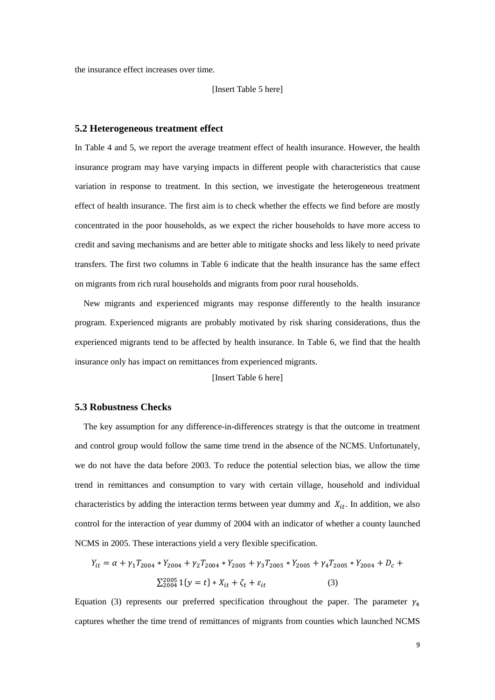the insurance effect increases over time.

[Insert Table 5 here]

#### **5.2 Heterogeneous treatment effect**

In Table 4 and 5, we report the average treatment effect of health insurance. However, the health insurance program may have varying impacts in different people with characteristics that cause variation in response to treatment. In this section, we investigate the heterogeneous treatment effect of health insurance. The first aim is to check whether the effects we find before are mostly concentrated in the poor households, as we expect the richer households to have more access to credit and saving mechanisms and are better able to mitigate shocks and less likely to need private transfers. The first two columns in Table 6 indicate that the health insurance has the same effect on migrants from rich rural households and migrants from poor rural households.

New migrants and experienced migrants may response differently to the health insurance program. Experienced migrants are probably motivated by risk sharing considerations, thus the experienced migrants tend to be affected by health insurance. In Table 6, we find that the health insurance only has impact on remittances from experienced migrants.

[Insert Table 6 here]

# **5.3 Robustness Checks**

 The key assumption for any difference-in-differences strategy is that the outcome in treatment and control group would follow the same time trend in the absence of the NCMS. Unfortunately, we do not have the data before 2003. To reduce the potential selection bias, we allow the time trend in remittances and consumption to vary with certain village, household and individual characteristics by adding the interaction terms between year dummy and  $X_{it}$ . In addition, we also control for the interaction of year dummy of 2004 with an indicator of whether a county launched NCMS in 2005. These interactions yield a very flexible specification.

$$
Y_{it} = \alpha + \gamma_1 T_{2004} * Y_{2004} + \gamma_2 T_{2004} * Y_{2005} + \gamma_3 T_{2005} * Y_{2005} + \gamma_4 T_{2005} * Y_{2004} + D_c + \sum_{2004}^{2005} 1 \{y = t\} * X_{it} + \zeta_t + \varepsilon_{it}
$$
 (3)

Equation (3) represents our preferred specification throughout the paper. The parameter  $\gamma_4$ captures whether the time trend of remittances of migrants from counties which launched NCMS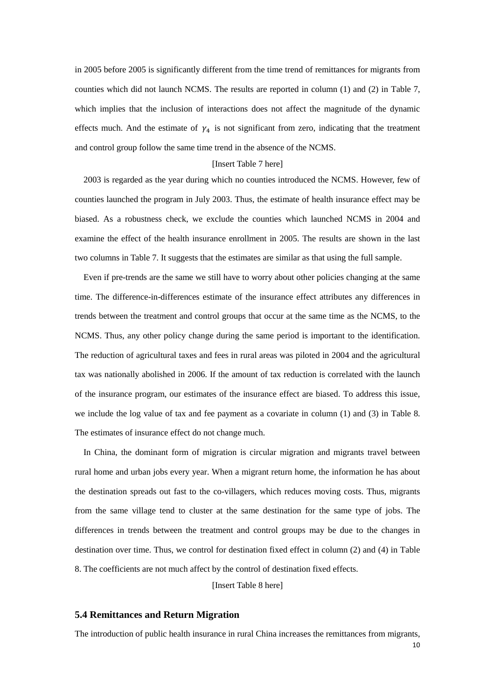in 2005 before 2005 is significantly different from the time trend of remittances for migrants from counties which did not launch NCMS. The results are reported in column (1) and (2) in Table 7, which implies that the inclusion of interactions does not affect the magnitude of the dynamic effects much. And the estimate of  $\gamma_4$  is not significant from zero, indicating that the treatment and control group follow the same time trend in the absence of the NCMS.

## [Insert Table 7 here]

2003 is regarded as the year during which no counties introduced the NCMS. However, few of counties launched the program in July 2003. Thus, the estimate of health insurance effect may be biased. As a robustness check, we exclude the counties which launched NCMS in 2004 and examine the effect of the health insurance enrollment in 2005. The results are shown in the last two columns in Table 7. It suggests that the estimates are similar as that using the full sample.

Even if pre-trends are the same we still have to worry about other policies changing at the same time. The difference-in-differences estimate of the insurance effect attributes any differences in trends between the treatment and control groups that occur at the same time as the NCMS, to the NCMS. Thus, any other policy change during the same period is important to the identification. The reduction of agricultural taxes and fees in rural areas was piloted in 2004 and the agricultural tax was nationally abolished in 2006. If the amount of tax reduction is correlated with the launch of the insurance program, our estimates of the insurance effect are biased. To address this issue, we include the log value of tax and fee payment as a covariate in column (1) and (3) in Table 8. The estimates of insurance effect do not change much.

In China, the dominant form of migration is circular migration and migrants travel between rural home and urban jobs every year. When a migrant return home, the information he has about the destination spreads out fast to the co-villagers, which reduces moving costs. Thus, migrants from the same village tend to cluster at the same destination for the same type of jobs. The differences in trends between the treatment and control groups may be due to the changes in destination over time. Thus, we control for destination fixed effect in column (2) and (4) in Table 8. The coefficients are not much affect by the control of destination fixed effects.

[Insert Table 8 here]

#### **5.4 Remittances and Return Migration**

10 The introduction of public health insurance in rural China increases the remittances from migrants,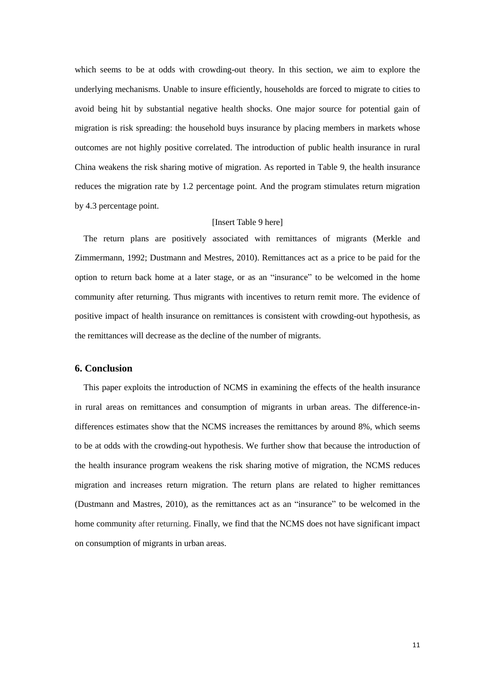which seems to be at odds with crowding-out theory. In this section, we aim to explore the underlying mechanisms. Unable to insure efficiently, households are forced to migrate to cities to avoid being hit by substantial negative health shocks. One major source for potential gain of migration is risk spreading: the household buys insurance by placing members in markets whose outcomes are not highly positive correlated. The introduction of public health insurance in rural China weakens the risk sharing motive of migration. As reported in Table 9, the health insurance reduces the migration rate by 1.2 percentage point. And the program stimulates return migration by 4.3 percentage point.

## [Insert Table 9 here]

The return plans are positively associated with remittances of migrants (Merkle and Zimmermann, 1992; Dustmann and Mestres, 2010). Remittances act as a price to be paid for the option to return back home at a later stage, or as an "insurance" to be welcomed in the home community after returning. Thus migrants with incentives to return remit more. The evidence of positive impact of health insurance on remittances is consistent with crowding-out hypothesis, as the remittances will decrease as the decline of the number of migrants.

# **6. Conclusion**

This paper exploits the introduction of NCMS in examining the effects of the health insurance in rural areas on remittances and consumption of migrants in urban areas. The difference-indifferences estimates show that the NCMS increases the remittances by around 8%, which seems to be at odds with the crowding-out hypothesis. We further show that because the introduction of the health insurance program weakens the risk sharing motive of migration, the NCMS reduces migration and increases return migration. The return plans are related to higher remittances (Dustmann and Mastres, 2010), as the remittances act as an "insurance" to be welcomed in the home community after returning. Finally, we find that the NCMS does not have significant impact on consumption of migrants in urban areas.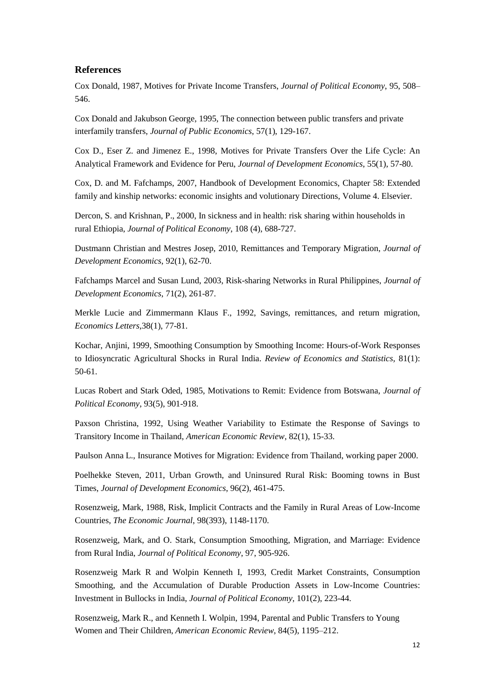#### **References**

Cox Donald, 1987, Motives for Private Income Transfers, *Journal of Political Economy*, 95, 508– 546.

Cox Donald and Jakubson George, 1995, The connection between public transfers and private interfamily transfers, *Journal of Public Economics*, 57(1), 129-167.

Cox D., Eser Z. and Jimenez E., 1998, Motives for Private Transfers Over the Life Cycle: An Analytical Framework and Evidence for Peru, *Journal of Development Economics*, 55(1), 57-80.

Cox, D. and M. Fafchamps, 2007, Handbook of Development Economics, Chapter 58: Extended family and kinship networks: economic insights and volutionary Directions, Volume 4. Elsevier.

Dercon, S. and Krishnan, P., 2000, In sickness and in health: risk sharing within households in rural Ethiopia, *Journal of Political Economy*, 108 (4), 688-727.

Dustmann Christian and Mestres Josep, 2010, Remittances and Temporary Migration, *Journal of Development Economics*, 92(1), 62-70.

Fafchamps Marcel and Susan Lund, 2003, Risk-sharing Networks in Rural Philippines, *Journal of Development Economics*, 71(2), 261-87.

Merkle Lucie and Zimmermann Klaus F., 1992, Savings, remittances, and return migration, *Economics Letters*[,38\(1\)](http://www.sciencedirect.com/science/journal/01651765/38/1), 77-81.

Kochar, Anjini, 1999, Smoothing Consumption by Smoothing Income: Hours-of-Work Responses to Idiosyncratic Agricultural Shocks in Rural India. *Review of Economics and Statistics,* 81(1): 50-61.

Lucas Robert and Stark Oded, 1985, Motivations to Remit: Evidence from Botswana, *Journal of Political Economy*, 93(5), 901-918.

Paxson Christina, 1992, Using Weather Variability to Estimate the Response of Savings to Transitory Income in Thailand, *American Economic Review*, 82(1), 15-33.

Paulson Anna L., Insurance Motives for Migration: Evidence from Thailand, working paper 2000.

Poelhekke Steven, 2011, Urban Growth, and Uninsured Rural Risk: Booming towns in Bust Times, *Journal of Development Economics*, 96(2), 461-475.

Rosenzweig, Mark, 1988, Risk, Implicit Contracts and the Family in Rural Areas of Low-Income Countries, *The Economic Journal*, 98(393), 1148-1170.

Rosenzweig, Mark, and O. Stark, Consumption Smoothing, Migration, and Marriage: Evidence from Rural India, *Journal of Political Economy*, 97, 905-926.

Rosenzweig Mark R and Wolpin Kenneth I, 1993, Credit Market Constraints, Consumption Smoothing, and the Accumulation of Durable Production Assets in Low-Income Countries: Investment in Bullocks in India, *Journal of Political Economy*, 101(2), 223-44.

Rosenzweig, Mark R., and Kenneth I. Wolpin, 1994, Parental and Public Transfers to Young Women and Their Children, *American Economic Review*, 84(5), 1195–212.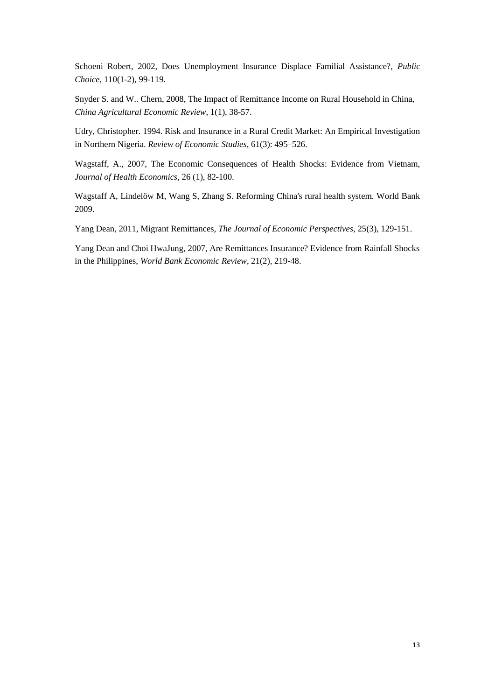Schoeni Robert, 2002, Does Unemployment Insurance Displace Familial Assistance?, *Public Choice*, 110(1-2), 99-119.

Snyder S. and W.. Chern, 2008, The Impact of Remittance Income on Rural Household in China, *China Agricultural Economic Review*, 1(1), 38-57.

Udry, Christopher. 1994. Risk and Insurance in a Rural Credit Market: An Empirical Investigation in Northern Nigeria. *Review of Economic Studies,* 61(3): 495–526.

Wagstaff, A., 2007, The Economic Consequences of Health Shocks: Evidence from Vietnam, *Journal of Health Economics*, 26 (1), 82-100.

Wagstaff A, Lindelöw M, Wang S, Zhang S. Reforming China's rural health system. World Bank 2009.

Yang Dean, 2011, Migrant Remittances, *The Journal of Economic Perspectives*, 25(3), 129-151.

Yang Dean and Choi HwaJung, 2007, Are Remittances Insurance? Evidence from Rainfall Shocks in the Philippines, *World Bank Economic Review*, 21(2), 219-48.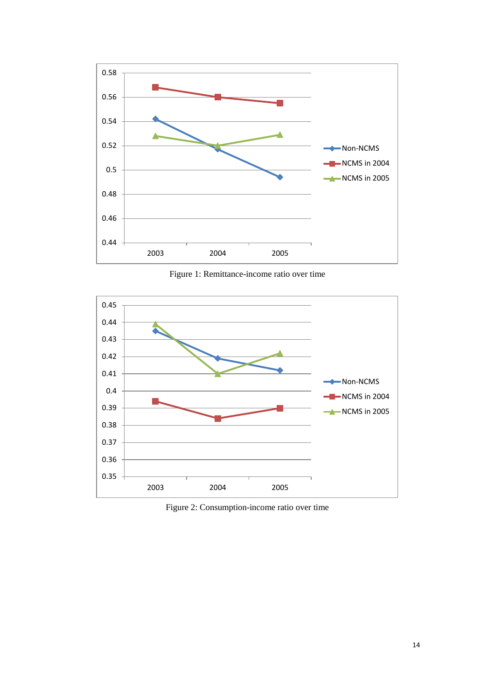

Figure 1: Remittance-income ratio over time



Figure 2: Consumption-income ratio over time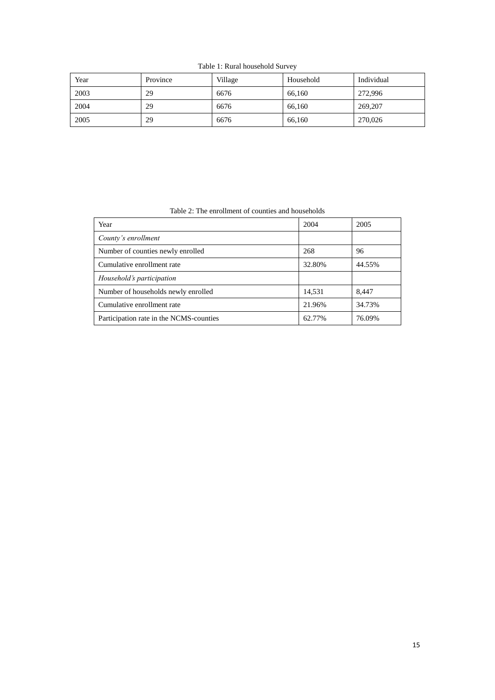Table 1: Rural household Survey

| Year | Province | Village | Household | Individual |
|------|----------|---------|-----------|------------|
| 2003 | 29       | 6676    | 66,160    | 272,996    |
| 2004 | 29       | 6676    | 66,160    | 269,207    |
| 2005 | 29       | 6676    | 66,160    | 270,026    |

Table 2: The enrollment of counties and households

| Year                                    | 2004   | 2005   |
|-----------------------------------------|--------|--------|
| County's enrollment                     |        |        |
| Number of counties newly enrolled       | 268    | 96     |
| Cumulative enrollment rate              | 32.80% | 44.55% |
| Household's participation               |        |        |
| Number of households newly enrolled     | 14,531 | 8.447  |
| Cumulative enrollment rate              | 21.96% | 34.73% |
| Participation rate in the NCMS-counties | 62.77% | 76.09% |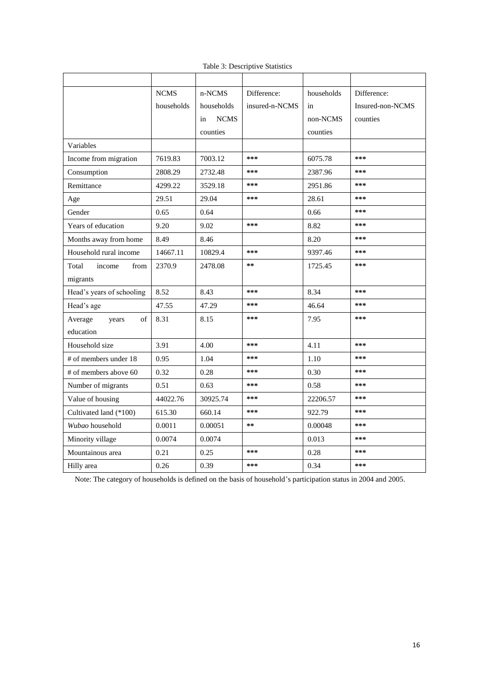|                           | <b>NCMS</b> | n-NCMS            | Difference:    | households | Difference:      |
|---------------------------|-------------|-------------------|----------------|------------|------------------|
|                           | households  | households        | insured-n-NCMS | in         | Insured-non-NCMS |
|                           |             | <b>NCMS</b><br>in |                | non-NCMS   | counties         |
|                           |             | counties          |                | counties   |                  |
| Variables                 |             |                   |                |            |                  |
| Income from migration     | 7619.83     | 7003.12           | ***            | 6075.78    | ***              |
| Consumption               | 2808.29     | 2732.48           | ***            | 2387.96    | ***              |
| Remittance                | 4299.22     | 3529.18           | ***            | 2951.86    | ***              |
| Age                       | 29.51       | 29.04             | ***            | 28.61      | ***              |
| Gender                    | 0.65        | 0.64              |                | 0.66       | ***              |
| Years of education        | 9.20        | 9.02              | ***            | 8.82       | ***              |
| Months away from home     | 8.49        | 8.46              |                | 8.20       | ***              |
| Household rural income    | 14667.11    | 10829.4           | ***            | 9397.46    | ***              |
| Total<br>income<br>from   | 2370.9      | 2478.08           | **             | 1725.45    | ***              |
| migrants                  |             |                   |                |            |                  |
| Head's years of schooling | 8.52        | 8.43              | ***            | 8.34       | ***              |
| Head's age                | 47.55       | 47.29             | ***            | 46.64      | ***              |
| Average<br>of<br>years    | 8.31        | 8.15              | ***            | 7.95       | ***              |
| education                 |             |                   |                |            |                  |
| Household size            | 3.91        | 4.00              | ***            | 4.11       | ***              |
| # of members under 18     | 0.95        | 1.04              | ***            | 1.10       | ***              |
| # of members above 60     | 0.32        | 0.28              | ***            | 0.30       | ***              |
| Number of migrants        | 0.51        | 0.63              | ***            | 0.58       | ***              |
| Value of housing          | 44022.76    | 30925.74          | ***            | 22206.57   | ***              |
| Cultivated land (*100)    | 615.30      | 660.14            | ***            | 922.79     | ***              |
| Wubao household           | 0.0011      | 0.00051           | $***$          | 0.00048    | ***              |
| Minority village          | 0.0074      | 0.0074            |                | 0.013      | ***              |
| Mountainous area          | 0.21        | 0.25              | ***            | 0.28       | ***              |
| Hilly area                | 0.26        | 0.39              | ***            | 0.34       | ***              |

Table 3: Descriptive Statistics

Note: The category of households is defined on the basis of household's participation status in 2004 and 2005.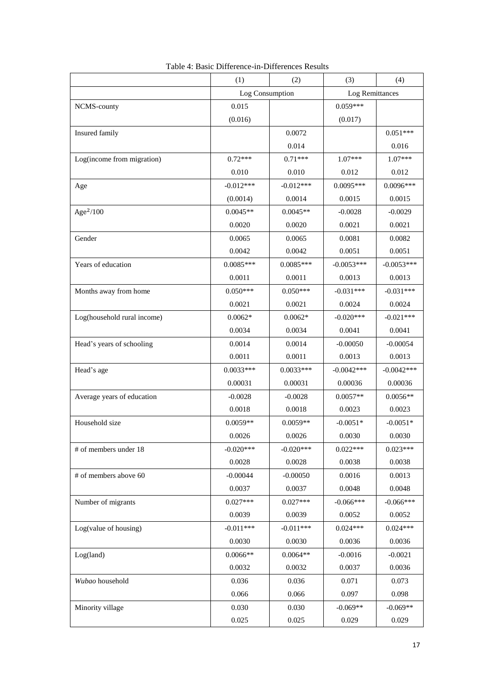|                             | (1)         | (2)             | (3)          | (4)             |  |
|-----------------------------|-------------|-----------------|--------------|-----------------|--|
|                             |             | Log Consumption |              | Log Remittances |  |
| NCMS-county                 | 0.015       |                 | $0.059***$   |                 |  |
|                             | (0.016)     |                 | (0.017)      |                 |  |
| Insured family              |             | 0.0072          |              | $0.051***$      |  |
|                             |             | 0.014           |              | 0.016           |  |
| Log(income from migration)  | $0.72***$   | $0.71***$       | $1.07***$    | 1.07***         |  |
|                             | 0.010       | 0.010           | 0.012        | 0.012           |  |
| Age                         | $-0.012***$ | $-0.012***$     | $0.0095***$  | $0.0096***$     |  |
|                             | (0.0014)    | 0.0014          | 0.0015       | 0.0015          |  |
| Age $2/100$                 | $0.0045**$  | $0.0045**$      | $-0.0028$    | $-0.0029$       |  |
|                             | 0.0020      | 0.0020          | 0.0021       | 0.0021          |  |
| Gender                      | 0.0065      | 0.0065          | 0.0081       | 0.0082          |  |
|                             | 0.0042      | 0.0042          | 0.0051       | 0.0051          |  |
| Years of education          | $0.0085***$ | $0.0085***$     | $-0.0053***$ | $-0.0053***$    |  |
|                             | 0.0011      | 0.0011          | 0.0013       | 0.0013          |  |
| Months away from home       | $0.050***$  | $0.050***$      | $-0.031***$  | $-0.031***$     |  |
|                             | 0.0021      | 0.0021          | 0.0024       | 0.0024          |  |
| Log(household rural income) | $0.0062*$   | $0.0062*$       | $-0.020***$  | $-0.021***$     |  |
|                             | 0.0034      | 0.0034          | 0.0041       | 0.0041          |  |
| Head's years of schooling   | 0.0014      | 0.0014          | $-0.00050$   | $-0.00054$      |  |
|                             | 0.0011      | 0.0011          | 0.0013       | 0.0013          |  |
| Head's age                  | $0.0033***$ | $0.0033***$     | $-0.0042***$ | $-0.0042***$    |  |
|                             | 0.00031     | 0.00031         | 0.00036      | 0.00036         |  |
| Average years of education  | $-0.0028$   | $-0.0028$       | $0.0057**$   | $0.0056**$      |  |
|                             | 0.0018      | 0.0018          | 0.0023       | 0.0023          |  |
| Household size              | $0.0059**$  | $0.0059**$      | $-0.0051*$   | $-0.0051*$      |  |
|                             | 0.0026      | 0.0026          | 0.0030       | 0.0030          |  |
| # of members under 18       | $-0.020***$ | $-0.020***$     | $0.022***$   | $0.023***$      |  |
|                             | 0.0028      | 0.0028          | 0.0038       | 0.0038          |  |
| # of members above 60       | $-0.00044$  | $-0.00050$      | 0.0016       | 0.0013          |  |
|                             | 0.0037      | 0.0037          | 0.0048       | 0.0048          |  |
| Number of migrants          | $0.027***$  | $0.027***$      | $-0.066***$  | $-0.066***$     |  |
|                             | 0.0039      | 0.0039          | 0.0052       | 0.0052          |  |
| Log(value of housing)       | $-0.011***$ | $-0.011***$     | $0.024***$   | $0.024***$      |  |
|                             | 0.0030      | 0.0030          | 0.0036       | 0.0036          |  |
| Log(land)                   | $0.0066**$  | $0.0064**$      | $-0.0016$    | $-0.0021$       |  |
|                             | 0.0032      | 0.0032          | 0.0037       | 0.0036          |  |
| Wubao household             | 0.036       | 0.036           | 0.071        | 0.073           |  |
|                             | 0.066       | 0.066           | 0.097        | 0.098           |  |
| Minority village            | 0.030       | 0.030           | $-0.069**$   | $-0.069**$      |  |
|                             | 0.025       | 0.025           | 0.029        | 0.029           |  |

| Table 4: Basic Difference-in-Differences Results |  |
|--------------------------------------------------|--|
|--------------------------------------------------|--|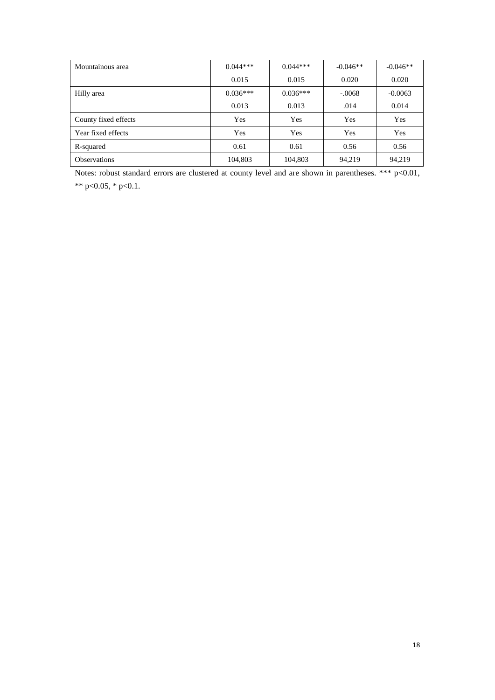| Mountainous area     | $0.044***$ | $0.044***$ | $-0.046**$ | $-0.046**$ |
|----------------------|------------|------------|------------|------------|
|                      | 0.015      | 0.015      | 0.020      | 0.020      |
| Hilly area           | $0.036***$ | $0.036***$ | $-.0068$   | $-0.0063$  |
|                      | 0.013      | 0.013      | .014       | 0.014      |
| County fixed effects | Yes        | Yes        | Yes        | Yes        |
| Year fixed effects   | Yes        | Yes        | Yes        | Yes        |
| R-squared            | 0.61       | 0.61       | 0.56       | 0.56       |
| <b>Observations</b>  | 104,803    | 104,803    | 94.219     | 94,219     |

Notes: robust standard errors are clustered at county level and are shown in parentheses. \*\*\* p<0.01, \*\* p<0.05, \* p<0.1.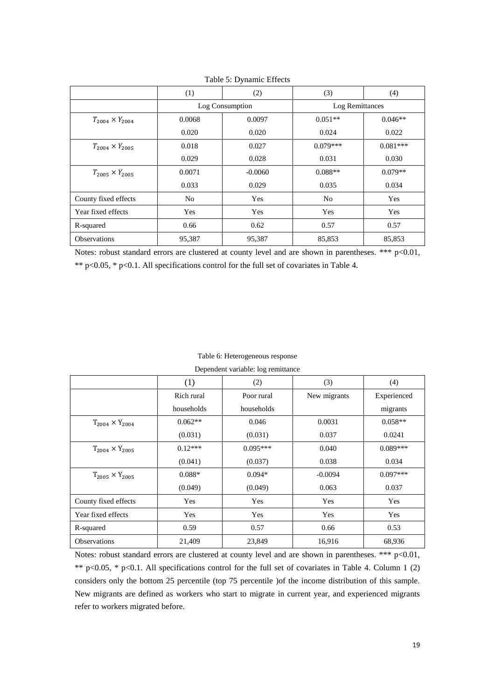|                            | (1)            | (2)             | (3)            | (4)             |
|----------------------------|----------------|-----------------|----------------|-----------------|
|                            |                | Log Consumption |                | Log Remittances |
| $T_{2004} \times Y_{2004}$ | 0.0068         | 0.0097          | $0.051**$      | $0.046**$       |
|                            | 0.020          | 0.020           | 0.024          | 0.022           |
| $T_{2004} \times Y_{2005}$ | 0.018          | 0.027           | $0.079***$     | $0.081***$      |
|                            | 0.029          | 0.028           | 0.031          | 0.030           |
| $T_{2005} \times Y_{2005}$ | 0.0071         | $-0.0060$       | $0.088**$      | $0.079**$       |
|                            | 0.033          | 0.029           | 0.035          | 0.034           |
| County fixed effects       | N <sub>o</sub> | Yes             | N <sub>0</sub> | Yes             |
| Year fixed effects         | Yes            | Yes             | Yes            | Yes             |
| R-squared                  | 0.66           | 0.62            | 0.57           | 0.57            |
| <b>Observations</b>        | 95,387         | 95,387          | 85,853         | 85,853          |

Table 5: Dynamic Effects

Notes: robust standard errors are clustered at county level and are shown in parentheses. \*\*\* p<0.01, \*\* p<0.05, \* p<0.1. All specifications control for the full set of covariates in Table 4.

#### Table 6: Heterogeneous response

Dependent variable: log remittance

|                            | (1)        | (2)        | (3)          | (4)         |
|----------------------------|------------|------------|--------------|-------------|
|                            | Rich rural | Poor rural | New migrants | Experienced |
|                            | households | households |              | migrants    |
| $T_{2004} \times Y_{2004}$ | $0.062**$  | 0.046      | 0.0031       | $0.058**$   |
|                            | (0.031)    | (0.031)    | 0.037        | 0.0241      |
| $T_{2004} \times Y_{2005}$ | $0.12***$  | $0.095***$ | 0.040        | $0.089***$  |
|                            | (0.041)    | (0.037)    | 0.038        | 0.034       |
| $T_{2005} \times Y_{2005}$ | $0.088*$   | $0.094*$   | $-0.0094$    | $0.097***$  |
|                            | (0.049)    | (0.049)    | 0.063        | 0.037       |
| County fixed effects       | Yes        | Yes        | Yes          | Yes         |
| Year fixed effects         | Yes        | Yes        | Yes          | Yes         |
| R-squared                  | 0.59       | 0.57       | 0.66         | 0.53        |
| <b>Observations</b>        | 21,409     | 23,849     | 16,916       | 68,936      |

Notes: robust standard errors are clustered at county level and are shown in parentheses. \*\*\* p<0.01, \*\* p<0.05, \* p<0.1. All specifications control for the full set of covariates in Table 4. Column 1 (2) considers only the bottom 25 percentile (top 75 percentile )of the income distribution of this sample. New migrants are defined as workers who start to migrate in current year, and experienced migrants refer to workers migrated before.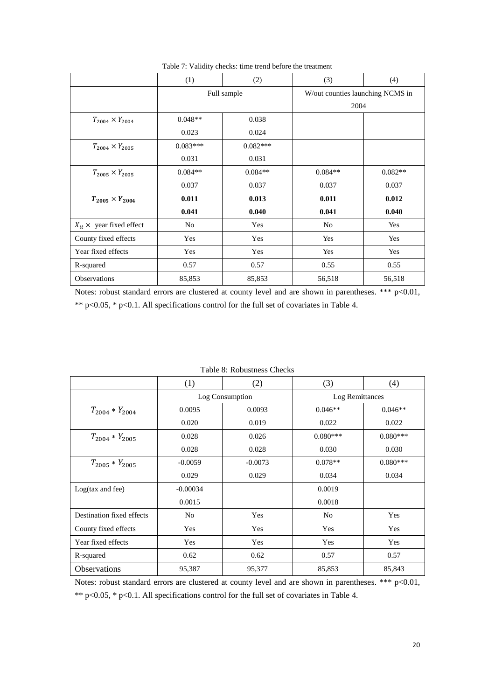|                              | (1)         | (2)        | (3)                              | (4)       |
|------------------------------|-------------|------------|----------------------------------|-----------|
|                              | Full sample |            | W/out counties launching NCMS in |           |
|                              |             |            | 2004                             |           |
| $T_{2004} \times Y_{2004}$   | $0.048**$   | 0.038      |                                  |           |
|                              | 0.023       | 0.024      |                                  |           |
| $T_{2004} \times Y_{2005}$   | $0.083***$  | $0.082***$ |                                  |           |
|                              | 0.031       | 0.031      |                                  |           |
| $T_{2005} \times Y_{2005}$   | $0.084**$   | $0.084**$  | $0.084**$                        | $0.082**$ |
|                              | 0.037       | 0.037      | 0.037                            | 0.037     |
| $T_{2005} \times Y_{2004}$   | 0.011       | 0.013      | 0.011                            | 0.012     |
|                              | 0.041       | 0.040      | 0.041                            | 0.040     |
| $X_{it}$ × year fixed effect | No          | Yes        | No                               | Yes       |
| County fixed effects         | Yes         | Yes        | Yes                              | Yes       |
| Year fixed effects           | Yes         | Yes        | Yes                              | Yes       |
| R-squared                    | 0.57        | 0.57       | 0.55                             | 0.55      |
| Observations                 | 85,853      | 85,853     | 56,518                           | 56,518    |

Table 7: Validity checks: time trend before the treatment

Notes: robust standard errors are clustered at county level and are shown in parentheses. \*\*\* p<0.01, \*\* p<0.05, \* p<0.1. All specifications control for the full set of covariates in Table 4.

|                             | (1)            | (2)             | (3)             | (4)        |
|-----------------------------|----------------|-----------------|-----------------|------------|
|                             |                | Log Consumption | Log Remittances |            |
| $T_{2004} * Y_{2004}$       | 0.0095         | 0.0093          | $0.046**$       | $0.046**$  |
|                             | 0.020          | 0.019           | 0.022           | 0.022      |
| $T_{2004} * Y_{2005}$       | 0.028          | 0.026           | $0.080***$      | $0.080***$ |
|                             | 0.028          | 0.028           | 0.030           | 0.030      |
| $T_{2005} * Y_{2005}$       | $-0.0059$      | $-0.0073$       | $0.078**$       | $0.080***$ |
|                             | 0.029          | 0.029           | 0.034           | 0.034      |
| $Log(tax \text{ and } fee)$ | $-0.00034$     |                 | 0.0019          |            |
|                             | 0.0015         |                 | 0.0018          |            |
| Destination fixed effects   | N <sub>0</sub> | Yes             | No              | Yes        |
| County fixed effects        | Yes            | Yes             | Yes             | Yes        |
| Year fixed effects          | Yes            | Yes             | Yes             | Yes        |
| R-squared                   | 0.62           | 0.62            | 0.57            | 0.57       |
| <b>Observations</b>         | 95,387         | 95,377          | 85,853          | 85,843     |

Notes: robust standard errors are clustered at county level and are shown in parentheses. \*\*\* p<0.01, \*\* p<0.05, \* p<0.1. All specifications control for the full set of covariates in Table 4.